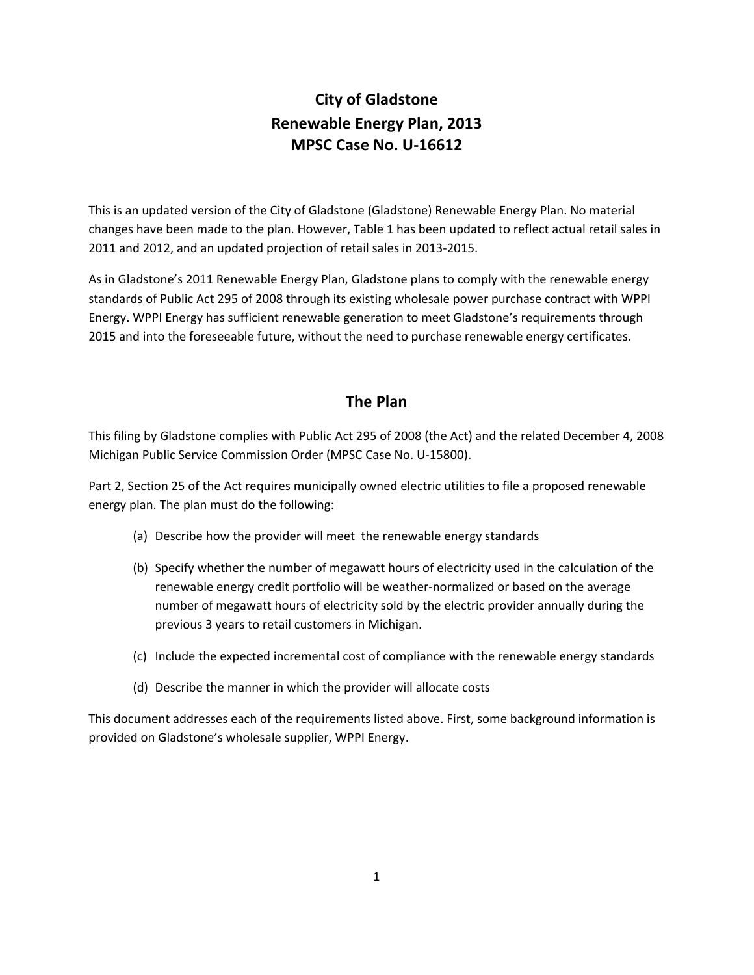# **City of Gladstone Renewable Energy Plan, 2013 MPSC Case No. U‐16612**

This is an updated version of the City of Gladstone (Gladstone) Renewable Energy Plan. No material changes have been made to the plan. However, Table 1 has been updated to reflect actual retail sales in 2011 and 2012, and an updated projection of retail sales in 2013‐2015.

As in Gladstone's 2011 Renewable Energy Plan, Gladstone plans to comply with the renewable energy standards of Public Act 295 of 2008 through its existing wholesale power purchase contract with WPPI Energy. WPPI Energy has sufficient renewable generation to meet Gladstone's requirements through 2015 and into the foreseeable future, without the need to purchase renewable energy certificates.

## **The Plan**

This filing by Gladstone complies with Public Act 295 of 2008 (the Act) and the related December 4, 2008 Michigan Public Service Commission Order (MPSC Case No. U‐15800).

Part 2, Section 25 of the Act requires municipally owned electric utilities to file a proposed renewable energy plan. The plan must do the following:

- (a) Describe how the provider will meet the renewable energy standards
- (b) Specify whether the number of megawatt hours of electricity used in the calculation of the renewable energy credit portfolio will be weather‐normalized or based on the average number of megawatt hours of electricity sold by the electric provider annually during the previous 3 years to retail customers in Michigan.
- (c) Include the expected incremental cost of compliance with the renewable energy standards
- (d) Describe the manner in which the provider will allocate costs

This document addresses each of the requirements listed above. First, some background information is provided on Gladstone's wholesale supplier, WPPI Energy.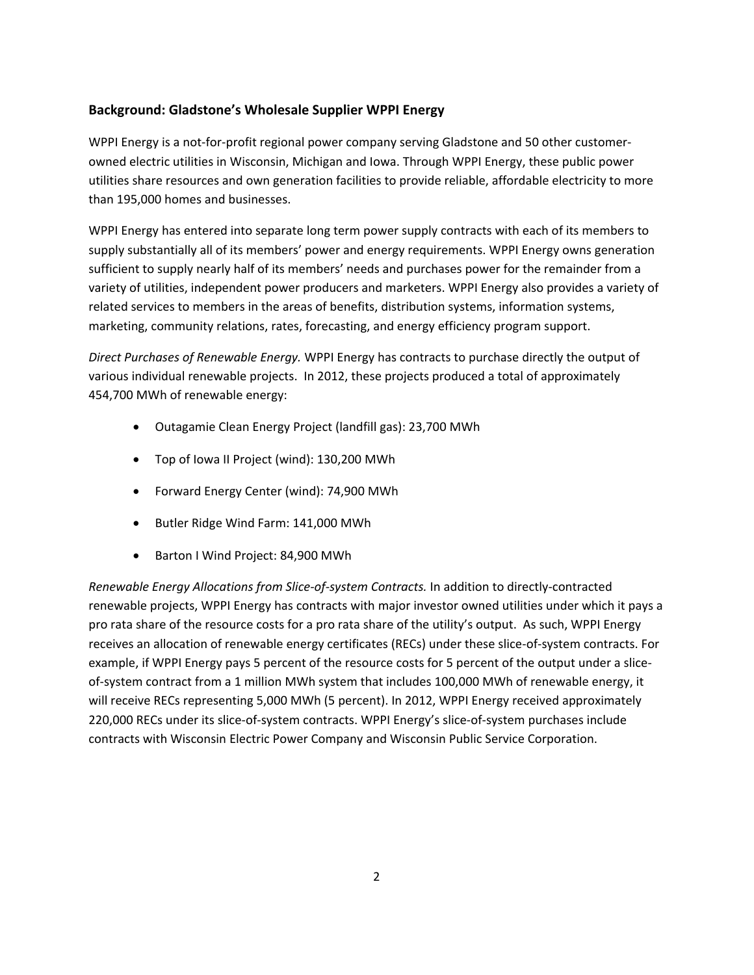## **Background: Gladstone's Wholesale Supplier WPPI Energy**

WPPI Energy is a not-for-profit regional power company serving Gladstone and 50 other customerowned electric utilities in Wisconsin, Michigan and Iowa. Through WPPI Energy, these public power utilities share resources and own generation facilities to provide reliable, affordable electricity to more than 195,000 homes and businesses.

WPPI Energy has entered into separate long term power supply contracts with each of its members to supply substantially all of its members' power and energy requirements. WPPI Energy owns generation sufficient to supply nearly half of its members' needs and purchases power for the remainder from a variety of utilities, independent power producers and marketers. WPPI Energy also provides a variety of related services to members in the areas of benefits, distribution systems, information systems, marketing, community relations, rates, forecasting, and energy efficiency program support.

*Direct Purchases of Renewable Energy.* WPPI Energy has contracts to purchase directly the output of various individual renewable projects. In 2012, these projects produced a total of approximately 454,700 MWh of renewable energy:

- Outagamie Clean Energy Project (landfill gas): 23,700 MWh
- Top of Iowa II Project (wind): 130,200 MWh
- Forward Energy Center (wind): 74,900 MWh
- Butler Ridge Wind Farm: 141,000 MWh
- Barton I Wind Project: 84,900 MWh

*Renewable Energy Allocations from Slice‐of‐system Contracts.* In addition to directly‐contracted renewable projects, WPPI Energy has contracts with major investor owned utilities under which it pays a pro rata share of the resource costs for a pro rata share of the utility's output. As such, WPPI Energy receives an allocation of renewable energy certificates (RECs) under these slice-of-system contracts. For example, if WPPI Energy pays 5 percent of the resource costs for 5 percent of the output under a slice‐ of-system contract from a 1 million MWh system that includes 100,000 MWh of renewable energy, it will receive RECs representing 5,000 MWh (5 percent). In 2012, WPPI Energy received approximately 220,000 RECs under its slice‐of‐system contracts. WPPI Energy's slice‐of‐system purchases include contracts with Wisconsin Electric Power Company and Wisconsin Public Service Corporation.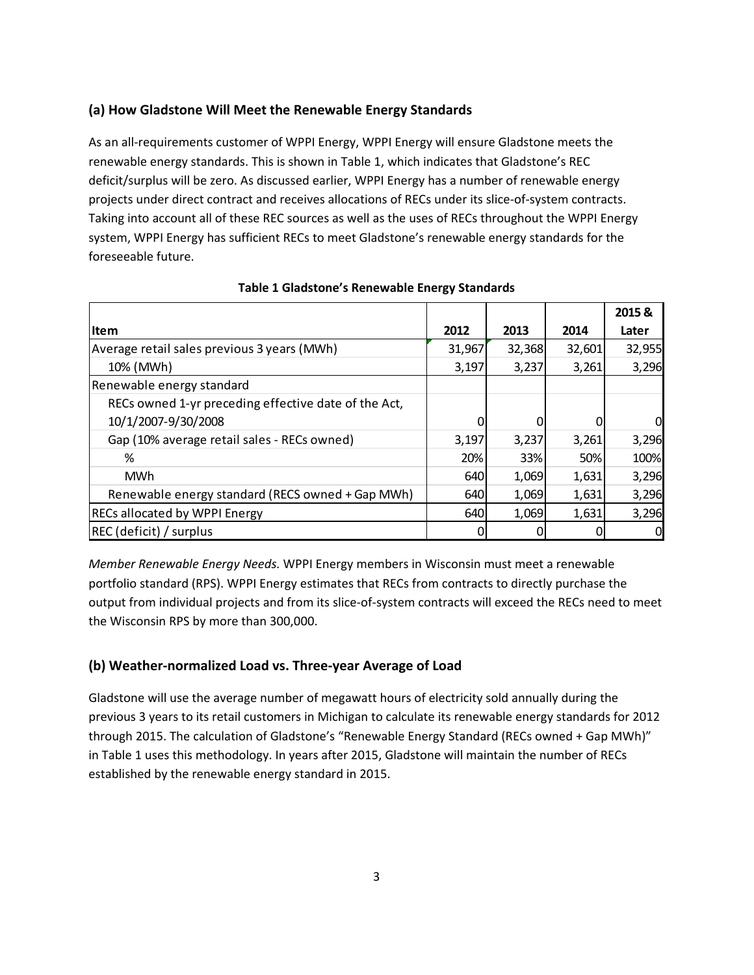### **(a) How Gladstone Will Meet the Renewable Energy Standards**

As an all‐requirements customer of WPPI Energy, WPPI Energy will ensure Gladstone meets the renewable energy standards. This is shown in Table 1, which indicates that Gladstone's REC deficit/surplus will be zero. As discussed earlier, WPPI Energy has a number of renewable energy projects under direct contract and receives allocations of RECs under its slice‐of‐system contracts. Taking into account all of these REC sources as well as the uses of RECs throughout the WPPI Energy system, WPPI Energy has sufficient RECs to meet Gladstone's renewable energy standards for the foreseeable future.

|                                                      |        |        |        | 2015&  |
|------------------------------------------------------|--------|--------|--------|--------|
| <b>Item</b>                                          | 2012   | 2013   | 2014   | Later  |
| Average retail sales previous 3 years (MWh)          | 31,967 | 32,368 | 32,601 | 32,955 |
| 10% (MWh)                                            | 3,197  | 3,237  | 3,261  | 3,296  |
| Renewable energy standard                            |        |        |        |        |
| RECs owned 1-yr preceding effective date of the Act, |        |        |        |        |
| 10/1/2007-9/30/2008                                  |        |        |        |        |
| Gap (10% average retail sales - RECs owned)          | 3,197  | 3,237  | 3,261  | 3,296  |
| %                                                    | 20%    | 33%    | 50%    | 100%   |
| MWh                                                  | 640    | 1,069  | 1,631  | 3,296  |
| Renewable energy standard (RECS owned + Gap MWh)     | 640    | 1,069  | 1,631  | 3,296  |
| <b>RECs allocated by WPPI Energy</b>                 | 640    | 1,069  | 1,631  | 3,296  |
| REC (deficit) / surplus                              |        |        |        |        |

#### **Table 1 Gladstone's Renewable Energy Standards**

*Member Renewable Energy Needs.* WPPI Energy members in Wisconsin must meet a renewable portfolio standard (RPS). WPPI Energy estimates that RECs from contracts to directly purchase the output from individual projects and from its slice‐of‐system contracts will exceed the RECs need to meet the Wisconsin RPS by more than 300,000.

#### **(b) Weather‐normalized Load vs. Three‐year Average of Load**

Gladstone will use the average number of megawatt hours of electricity sold annually during the previous 3 years to its retail customers in Michigan to calculate its renewable energy standards for 2012 through 2015. The calculation of Gladstone's "Renewable Energy Standard (RECs owned + Gap MWh)" in Table 1 uses this methodology. In years after 2015, Gladstone will maintain the number of RECs established by the renewable energy standard in 2015.